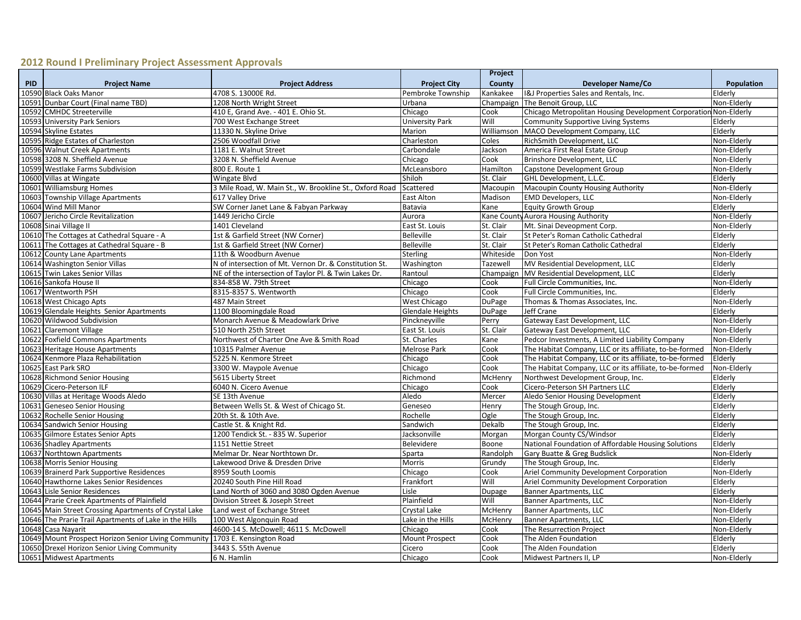## **2012 Round I Preliminary Project Assessment Approvals**

|      |                                                        |                                                         |                       | Project    |                                                                  |             |
|------|--------------------------------------------------------|---------------------------------------------------------|-----------------------|------------|------------------------------------------------------------------|-------------|
| PID. | <b>Project Name</b>                                    | <b>Project Address</b>                                  | <b>Project City</b>   | County     | Developer Name/Co                                                | Population  |
|      | 10590 Black Oaks Manor                                 | 4708 S. 13000E Rd.                                      | Pembroke Township     | Kankakee   | I&J Properties Sales and Rentals, Inc.                           | Elderly     |
|      | 10591 Dunbar Court (Final name TBD)                    | 1208 North Wright Street                                | Urbana                | Champaign  | The Benoit Group, LLC                                            | Non-Elderly |
|      | 10592 CMHDC Streeterville                              | 410 E, Grand Ave. - 401 E. Ohio St.                     | Chicago               | Cook       | Chicago Metropolitan Housing Development Corporation Non-Elderly |             |
|      | 10593 University Park Seniors                          | 700 West Exchange Street                                | University Park       | Will       | Community Supportive Living Systems                              | Elderly     |
|      | 10594 Skyline Estates                                  | 11330 N. Skyline Drive                                  | Marion                | Williamson | MACO Development Company, LLC                                    | Elderly     |
|      | 10595 Ridge Estates of Charleston                      | 2506 Woodfall Drive                                     | Charleston            | Coles      | RichSmith Development, LLC                                       | Non-Elderly |
|      | 10596 Walnut Creek Apartments                          | 1181 E. Walnut Street                                   | Carbondale            | Jackson    | America First Real Estate Group                                  | Non-Elderly |
|      | 10598 3208 N. Sheffield Avenue                         | 3208 N. Sheffield Avenue                                | Chicago               | Cook       | Brinshore Development, LLC                                       | Non-Elderly |
|      | 10599 Westlake Farms Subdivision                       | 800 E. Route 1                                          | McLeansboro           | Hamilton   | Capstone Development Group                                       | Non-Elderly |
|      | 10600 Villas at Wingate                                | Wingate Blvd                                            | Shiloh                | St. Clair  | GHL Development, L.L.C.                                          | Elderly     |
|      | 10601 Williamsburg Homes                               | 3 Mile Road, W. Main St., W. Brookline St., Oxford Road | Scattered             | Macoupin   | Macoupin County Housing Authority                                | Non-Elderly |
|      | 10603 Township Village Apartments                      | 617 Valley Drive                                        | <b>East Alton</b>     | Madison    | <b>EMD Developers, LLC</b>                                       | Non-Elderly |
|      | 10604 Wind Mill Manor                                  | SW Corner Janet Lane & Fabyan Parkway                   | Batavia               | Kane       | <b>Equity Growth Group</b>                                       | Elderly     |
|      | 10607 Jericho Circle Revitalization                    | 1449 Jericho Circle                                     | Aurora                |            | Kane County Aurora Housing Authority                             | Non-Elderly |
|      | 10608 Sinai Village II                                 | 1401 Cleveland                                          | East St. Louis        | St. Clair  | Mt. Sinai Deveopment Corp.                                       | Non-Elderly |
|      | 10610 The Cottages at Cathedral Square - A             | 1st & Garfield Street (NW Corner)                       | <b>Belleville</b>     | St. Clair  | St Peter's Roman Catholic Cathedral                              | Elderly     |
|      | 10611 The Cottages at Cathedral Square - B             | 1st & Garfield Street (NW Corner)                       | <b>Belleville</b>     | St. Clair  | St Peter's Roman Catholic Cathedral                              | Elderly     |
|      | 10612 County Lane Apartments                           | 11th & Woodburn Avenue                                  | <b>Sterling</b>       | Whiteside  | Don Yost                                                         | Non-Elderly |
|      | 10614 Washington Senior Villas                         | N of intersection of Mt. Vernon Dr. & Constitution St.  | Washington            | Tazewell   | MV Residential Development, LLC                                  | Elderly     |
|      | 10615 Twin Lakes Senior Villas                         | NE of the intersection of Taylor Pl. & Twin Lakes Dr.   | Rantoul               | Champaign  | MV Residential Development, LLC                                  | Elderly     |
|      | 10616 Sankofa House II                                 | 834-858 W. 79th Street                                  | Chicago               | Cook       | Full Circle Communities, Inc.                                    | Non-Elderly |
|      | 10617 Wentworth PSH                                    | 8315-8357 S. Wentworth                                  | Chicago               | Cook       | Full Circle Communities, Inc.                                    | Elderly     |
|      | 10618 West Chicago Apts                                | 487 Main Street                                         | West Chicago          | DuPage     | Thomas & Thomas Associates, Inc.                                 | Non-Elderly |
|      | 10619 Glendale Heights Senior Apartments               | 1100 Bloomingdale Road                                  | Glendale Heights      | DuPage     | Jeff Crane                                                       | Elderly     |
|      | 10620 Wildwood Subdivision                             | Monarch Avenue & Meadowlark Drive                       | Pinckneyville         | Perry      | Gateway East Development, LLC                                    | Non-Elderly |
|      | 10621 Claremont Village                                | 510 North 25th Street                                   | East St. Louis        | St. Clair  | Gateway East Development, LLC                                    | Non-Elderly |
|      | 10622 Foxfield Commons Apartments                      | Northwest of Charter One Ave & Smith Road               | St. Charles           | Kane       | Pedcor Investments, A Limited Liability Company                  | Non-Elderly |
|      | 10623 Heritage House Apartments                        | 10315 Palmer Avenue                                     | Melrose Park          | Cook       | The Habitat Company, LLC or its affiliate, to-be-formed          | Non-Elderly |
|      | 10624 Kenmore Plaza Rehabilitation                     | 5225 N. Kenmore Street                                  | Chicago               | Cook       | The Habitat Company, LLC or its affiliate, to-be-formed          | Elderly     |
|      | 10625 East Park SRO                                    | 3300 W. Maypole Avenue                                  | Chicago               | Cook       | The Habitat Company, LLC or its affiliate, to-be-formed          | Non-Elderly |
|      | 10628 Richmond Senior Housing                          | 5615 Liberty Street                                     | Richmond              | McHenry    | Northwest Development Group, Inc.                                | Elderly     |
|      | 10629 Cicero-Peterson ILF                              | 6040 N. Cicero Avenue                                   | Chicago               | Cook       | Cicero-Peterson SH Partners LLC                                  | Elderly     |
|      | 10630 Villas at Heritage Woods Aledo                   | SE 13th Avenue                                          | Aledo                 | Mercer     | Aledo Senior Housing Development                                 | Elderly     |
|      | 10631 Geneseo Senior Housing                           | Between Wells St. & West of Chicago St.                 | Geneseo               | Henry      | The Stough Group, Inc.                                           | Elderly     |
|      | 10632 Rochelle Senior Housing                          | 20th St. & 10th Ave.                                    | Rochelle              | Ogle       | The Stough Group, Inc.                                           | Elderly     |
|      | 10634 Sandwich Senior Housing                          | Castle St. & Knight Rd                                  | Sandwich              | Dekalb     | The Stough Group, Inc.                                           | Elderly     |
|      | 10635 Gilmore Estates Senior Apts                      | 1200 Tendick St. - 835 W. Superior                      | Jacksonville          | Morgan     | Morgan County CS/Windsor                                         | Elderly     |
|      | 10636 Shadley Apartments                               | 1151 Nettie Street                                      | Belevidere            | Boone      | National Foundation of Affordable Housing Solutions              | Elderly     |
|      | 10637 Northtown Apartments                             | Melmar Dr. Near Northtown Dr.                           | Sparta                | Randolph   | Gary Buatte & Greg Budslick                                      | Non-Elderly |
|      | 10638 Morris Senior Housing                            | Lakewood Drive & Dresden Drive                          | Morris                | Grundy     | The Stough Group, Inc.                                           | Elderly     |
|      | 10639 Brainerd Park Supportive Residences              | 8959 South Loomis                                       | Chicago               | Cook       | Ariel Community Development Corporation                          | Non-Elderly |
|      | 10640 Hawthorne Lakes Senior Residences                | 20240 South Pine Hill Road                              | Frankfort             | Will       | Ariel Community Development Corporation                          | Elderly     |
|      | 10643 Lisle Senior Residences                          | Land North of 3060 and 3080 Ogden Avenue                | Lisle                 | Dupage     | <b>Banner Apartments, LLC</b>                                    | Elderly     |
|      | 10644 Prarie Creek Apartments of Plainfield            | Division Street & Joseph Street                         | Plainfield            | Will       | <b>Banner Apartments, LLC</b>                                    | Non-Elderly |
|      | 10645 Main Street Crossing Apartments of Crystal Lake  | Land west of Exchange Street                            | Crystal Lake          | McHenry    | <b>Banner Apartments, LLC</b>                                    | Non-Elderly |
|      | 10646 The Prarie Trail Apartments of Lake in the Hills | 100 West Algonquin Road                                 | Lake in the Hills     | McHenry    | <b>Banner Apartments, LLC</b>                                    | Non-Elderly |
|      | 10648 Casa Nayarit                                     | 4600-14 S. McDowell; 4611 S. McDowell                   | Chicago               | Cook       | The Resurrection Project                                         | Non-Elderly |
|      | 10649 Mount Prospect Horizon Senior Living Community   | 1703 E. Kensington Road                                 | <b>Mount Prospect</b> | Cook       | The Alden Foundation                                             | Elderly     |
|      | 10650 Drexel Horizon Senior Living Community           | 3443 S. 55th Avenue                                     | Cicero                | Cook       | The Alden Foundation                                             | Elderly     |
|      | 10651 Midwest Apartments                               | 6 N. Hamlin                                             | Chicago               | Cook       | Midwest Partners II, LP                                          | Non-Elderly |